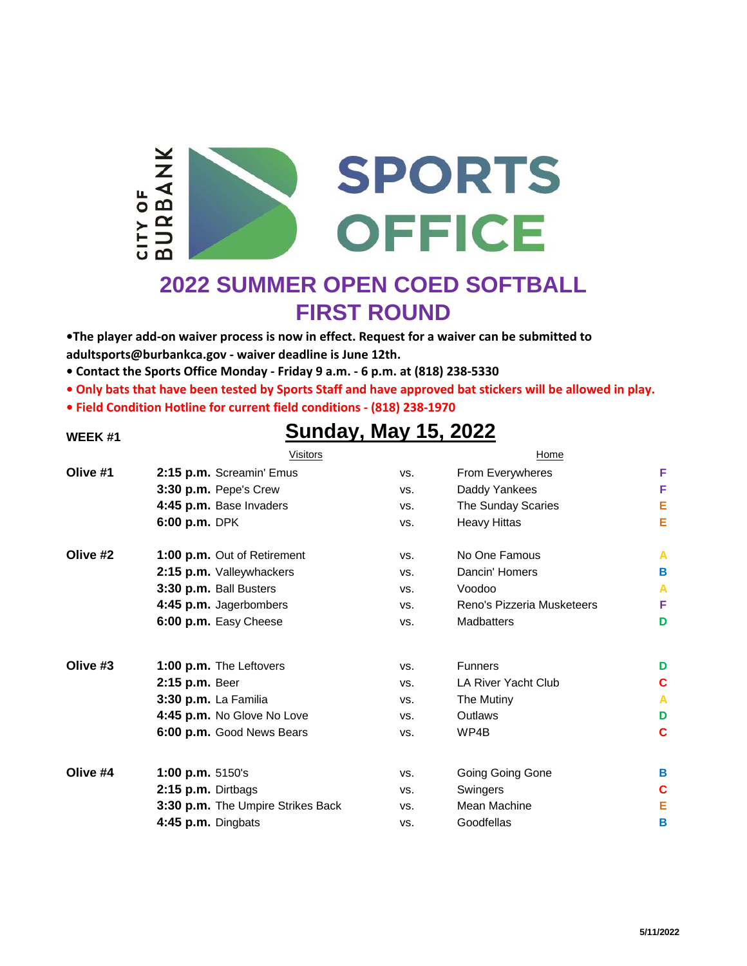

# **2022 SUMMER OPEN COED SOFTBALL FIRST ROUND**

**•The player add-on waiver process is now in effect. Request for a waiver can be submitted to adultsports@burbankca.gov - waiver deadline is June 12th.**

- **Contact the Sports Office Monday Friday 9 a.m. 6 p.m. at (818) 238-5330**
- **Only bats that have been tested by Sports Staff and have approved bat stickers will be allowed in play.**
- **Field Condition Hotline for current field conditions (818) 238-1970**

## **WEEK #1 Sunday, May 15, 2022**

|          | Visitors                          |     | Home                       |   |
|----------|-----------------------------------|-----|----------------------------|---|
| Olive #1 | 2:15 p.m. Screamin' Emus          | VS. | From Everywheres           | F |
|          | 3:30 p.m. Pepe's Crew             | VS. | Daddy Yankees              | F |
|          | 4:45 p.m. Base Invaders           | VS. | The Sunday Scaries         | E |
|          | 6:00 p.m. DPK                     | VS. | <b>Heavy Hittas</b>        | E |
| Olive #2 | 1:00 p.m. Out of Retirement       | VS. | No One Famous              | A |
|          | 2:15 p.m. Valleywhackers          | VS. | Dancin' Homers             | В |
|          | 3:30 p.m. Ball Busters            | VS. | Voodoo                     | A |
|          | 4:45 p.m. Jagerbombers            | VS. | Reno's Pizzeria Musketeers | F |
|          | 6:00 p.m. Easy Cheese             | VS. | <b>Madbatters</b>          | D |
| Olive #3 | 1:00 p.m. The Leftovers           | VS. | <b>Funners</b>             | D |
|          | 2:15 p.m. Beer                    | VS. | LA River Yacht Club        | С |
|          | 3:30 p.m. La Familia              | VS. | The Mutiny                 | A |
|          | 4:45 p.m. No Glove No Love        | VS. | Outlaws                    | D |
|          | 6:00 p.m. Good News Bears         | VS. | WP4B                       | C |
| Olive #4 | 1:00 p.m. 5150's                  | VS. | Going Going Gone           | в |
|          | 2:15 p.m. Dirtbags                | VS. | Swingers                   | C |
|          | 3:30 p.m. The Umpire Strikes Back | VS. | Mean Machine               | E |
|          | 4:45 p.m. Dingbats                | VS. | Goodfellas                 | B |
|          |                                   |     |                            |   |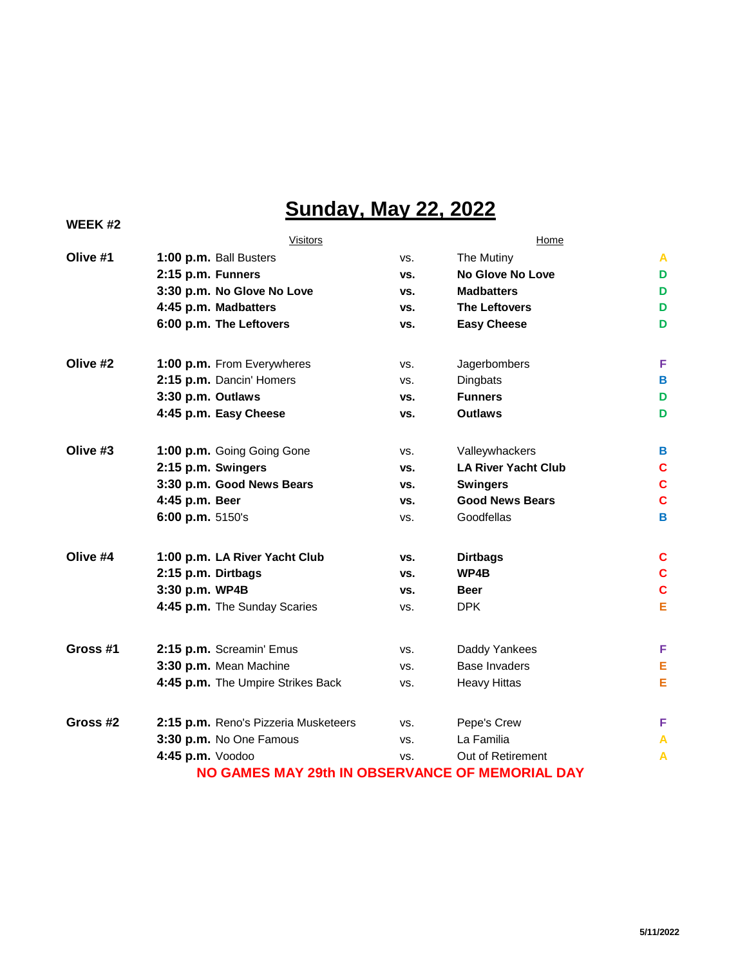# **Sunday, May 22, 2022**

| <b>WEEK#2</b> |                                                 |     |                            |   |  |  |
|---------------|-------------------------------------------------|-----|----------------------------|---|--|--|
|               | Visitors                                        |     | Home                       |   |  |  |
| Olive #1      | 1:00 p.m. Ball Busters                          | VS. | The Mutiny                 | A |  |  |
|               | 2:15 p.m. Funners                               | VS. | No Glove No Love           | D |  |  |
|               | 3:30 p.m. No Glove No Love                      | VS. | <b>Madbatters</b>          | D |  |  |
|               | 4:45 p.m. Madbatters                            | VS. | <b>The Leftovers</b>       | D |  |  |
|               | 6:00 p.m. The Leftovers                         | VS. | <b>Easy Cheese</b>         | D |  |  |
| Olive #2      | 1:00 p.m. From Everywheres                      | VS. | Jagerbombers               | F |  |  |
|               | 2:15 p.m. Dancin' Homers                        | VS. | Dingbats                   | B |  |  |
|               | 3:30 p.m. Outlaws                               | VS. | <b>Funners</b>             | D |  |  |
|               | 4:45 p.m. Easy Cheese                           | VS. | <b>Outlaws</b>             | D |  |  |
| Olive #3      | 1:00 p.m. Going Going Gone                      | VS. | Valleywhackers             | B |  |  |
|               | 2:15 p.m. Swingers                              | VS. | <b>LA River Yacht Club</b> | C |  |  |
|               | 3:30 p.m. Good News Bears                       | VS. | <b>Swingers</b>            | C |  |  |
|               | 4:45 p.m. Beer                                  | VS. | <b>Good News Bears</b>     | C |  |  |
|               | 6:00 p.m. 5150's                                | VS. | Goodfellas                 | B |  |  |
| Olive #4      | 1:00 p.m. LA River Yacht Club                   | VS. | <b>Dirtbags</b>            | c |  |  |
|               | 2:15 p.m. Dirtbags                              | VS. | WP4B                       | C |  |  |
|               | 3:30 p.m. WP4B                                  | VS. | <b>Beer</b>                | C |  |  |
|               | 4:45 p.m. The Sunday Scaries                    | VS. | <b>DPK</b>                 | E |  |  |
| Gross #1      | 2:15 p.m. Screamin' Emus                        | VS. | Daddy Yankees              | F |  |  |
|               | 3:30 p.m. Mean Machine                          | VS. | <b>Base Invaders</b>       | E |  |  |
|               | 4:45 p.m. The Umpire Strikes Back               | VS. | <b>Heavy Hittas</b>        | E |  |  |
| Gross #2      | 2:15 p.m. Reno's Pizzeria Musketeers            | VS. | Pepe's Crew                | F |  |  |
|               | 3:30 p.m. No One Famous                         | VS. | La Familia                 | Α |  |  |
|               | 4:45 p.m. Voodoo                                | VS. | Out of Retirement          | Α |  |  |
|               | NO GAMES MAY 29th IN OBSERVANCE OF MEMORIAL DAY |     |                            |   |  |  |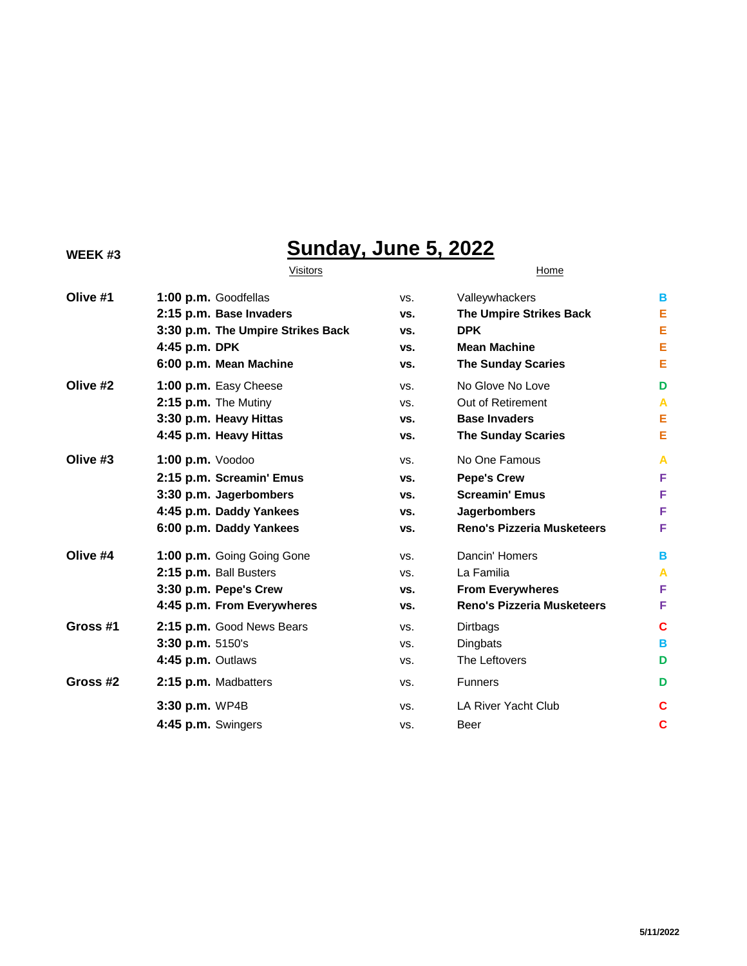## **WEEK #3 Sunday, June 5, 2022**

# Visitors **Home Olive #1 1:00 p.m.** Goodfellas vs. Valleywhackers **B Olive #2 1:00 p.m.** Easy Cheese vs. No Glove No Love **D Olive #3 1:00 p.m.** Voodoo vs. No One Famous **A Olive #4 1:00 p.m.** Going Going Gone vs. Dancin' Homers **B Gross #1 2:15 p.m.** Good News Bears vs. Dirtbags **C Gross #2 2:15 p.m.** Madbatters vs. Funners **D**

# **2:15 p.m. Base Invaders vs. The Umpire Strikes Back E 3:30 p.m. The Umpire Strikes Back vs. DPK E 4:45 p.m. DPK vs. Mean Machine E 6:00 p.m. Mean Machine vs. The Sunday Scaries E 2:15 p.m.** The Mutiny vs. Out of Retirement **A 3:30 p.m. Heavy Hittas vs. Base Invaders E 4:45 p.m. Heavy Hittas vs. The Sunday Scaries E 2:15 p.m. Screamin' Emus vs. Pepe's Crew F 3:30 p.m. Jagerbombers vs. Screamin' Emus F 4:45 p.m. Daddy Yankees vs. Jagerbombers F 6:00 p.m. Daddy Yankees vs. Reno's Pizzeria Musketeers F 2:15 p.m.** Ball Busters vs. La Familia **A 3:30 p.m. Pepe's Crew vs. From Everywheres F 4:45 p.m. From Everywheres vs. Reno's Pizzeria Musketeers F 3:30 p.m.** 5150's vs. Dingbats **B 4:45 p.m.** Outlaws vs. The Leftovers **D 3:30 p.m.** WP4B vs. LA River Yacht Club **C 4:45 p.m.** Swingers vs. Beer **C**